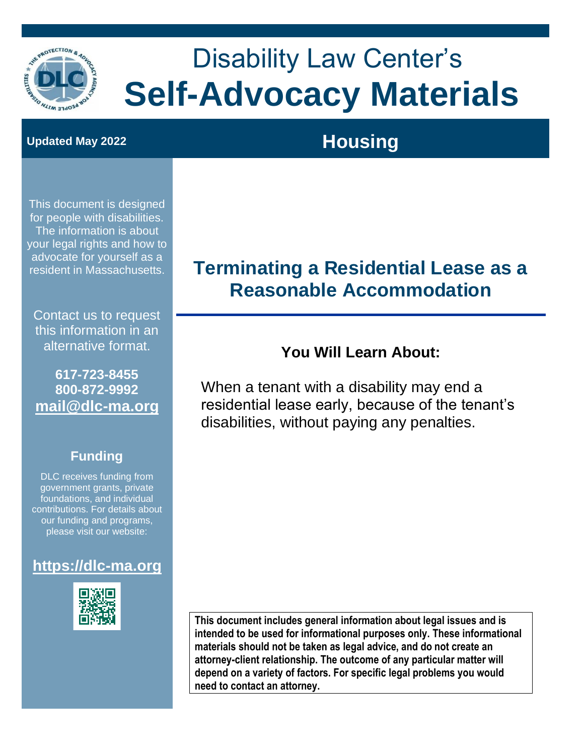

# Disability Law Center's **Self-Advocacy Materials**

# **Updated May 2022 Housing**

This document is designed for people with disabilities. The information is about your legal rights and how to advocate for yourself as a resident in Massachusetts.

Contact us to request this information in an alternative format.

**617-723-8455 800-872-9992 [mail@dlc-ma.org](file:///C:/Users/richc/AppData/Local/Microsoft/Windows/INetCache/Content.Outlook/GINO4TGH/mail@dlc-ma.org)**

#### **Funding**

DLC receives funding from government grants, private foundations, and individual contributions. For details about our funding and programs, please visit our website:

#### **[https://dlc-ma.org](https://dlc-ma.org/)**



# **Terminating a Residential Lease as a Reasonable Accommodation**

#### **You Will Learn About:**

When a tenant with a disability may end a residential lease early, because of the tenant's disabilities, without paying any penalties.

**This document includes general information about legal issues and is intended to be used for informational purposes only. These informational materials should not be taken as legal advice, and do not create an attorney-client relationship. The outcome of any particular matter will depend on a variety of factors. For specific legal problems you would need to contact an attorney.**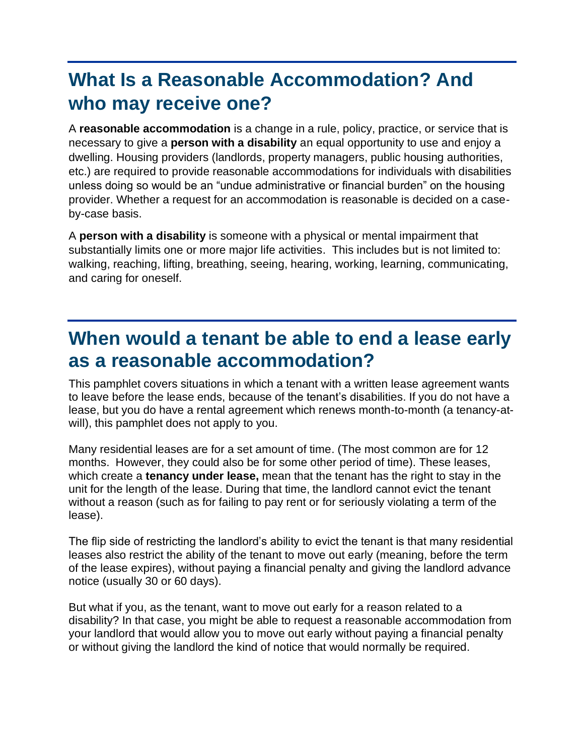# **What Is a Reasonable Accommodation? And who may receive one?**

A **reasonable accommodation** is a change in a rule, policy, practice, or service that is necessary to give a **person with a disability** an equal opportunity to use and enjoy a dwelling. Housing providers (landlords, property managers, public housing authorities, etc.) are required to provide reasonable accommodations for individuals with disabilities unless doing so would be an "undue administrative or financial burden" on the housing provider. Whether a request for an accommodation is reasonable is decided on a caseby-case basis.

A **person with a disability** is someone with a physical or mental impairment that substantially limits one or more major life activities. This includes but is not limited to: walking, reaching, lifting, breathing, seeing, hearing, working, learning, communicating, and caring for oneself.

# **When would a tenant be able to end a lease early as a reasonable accommodation?**

This pamphlet covers situations in which a tenant with a written lease agreement wants to leave before the lease ends, because of the tenant's disabilities. If you do not have a lease, but you do have a rental agreement which renews month-to-month (a tenancy-atwill), this pamphlet does not apply to you.

Many residential leases are for a set amount of time. (The most common are for 12 months. However, they could also be for some other period of time). These leases, which create a **tenancy under lease,** mean that the tenant has the right to stay in the unit for the length of the lease. During that time, the landlord cannot evict the tenant without a reason (such as for failing to pay rent or for seriously violating a term of the lease).

The flip side of restricting the landlord's ability to evict the tenant is that many residential leases also restrict the ability of the tenant to move out early (meaning, before the term of the lease expires), without paying a financial penalty and giving the landlord advance notice (usually 30 or 60 days).

But what if you, as the tenant, want to move out early for a reason related to a disability? In that case, you might be able to request a reasonable accommodation from your landlord that would allow you to move out early without paying a financial penalty or without giving the landlord the kind of notice that would normally be required.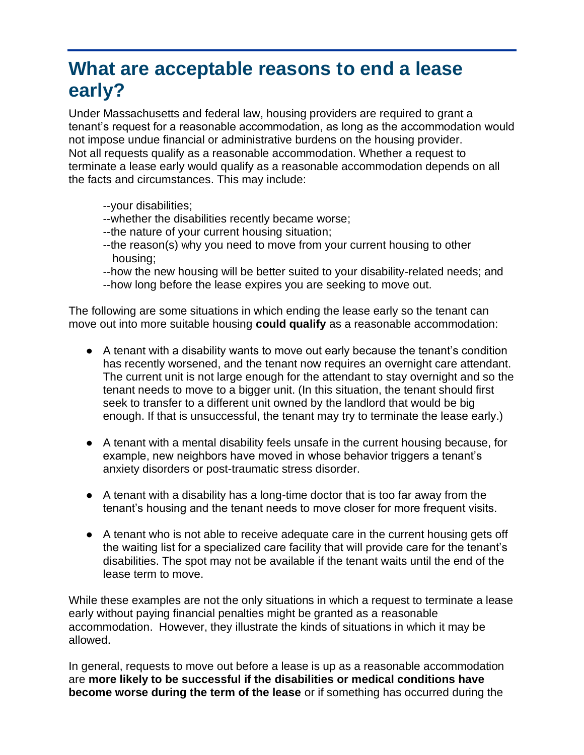# **What are acceptable reasons to end a lease early?**

Under Massachusetts and federal law, housing providers are required to grant a tenant's request for a reasonable accommodation, as long as the accommodation would not impose undue financial or administrative burdens on the housing provider. Not all requests qualify as a reasonable accommodation. Whether a request to terminate a lease early would qualify as a reasonable accommodation depends on all the facts and circumstances. This may include:

--your disabilities;

- --whether the disabilities recently became worse;
- --the nature of your current housing situation;
- --the reason(s) why you need to move from your current housing to other housing;
- --how the new housing will be better suited to your disability-related needs; and
- --how long before the lease expires you are seeking to move out.

The following are some situations in which ending the lease early so the tenant can move out into more suitable housing **could qualify** as a reasonable accommodation:

- A tenant with a disability wants to move out early because the tenant's condition has recently worsened, and the tenant now requires an overnight care attendant. The current unit is not large enough for the attendant to stay overnight and so the tenant needs to move to a bigger unit. (In this situation, the tenant should first seek to transfer to a different unit owned by the landlord that would be big enough. If that is unsuccessful, the tenant may try to terminate the lease early.)
- A tenant with a mental disability feels unsafe in the current housing because, for example, new neighbors have moved in whose behavior triggers a tenant's anxiety disorders or post-traumatic stress disorder.
- A tenant with a disability has a long-time doctor that is too far away from the tenant's housing and the tenant needs to move closer for more frequent visits.
- A tenant who is not able to receive adequate care in the current housing gets off the waiting list for a specialized care facility that will provide care for the tenant's disabilities. The spot may not be available if the tenant waits until the end of the lease term to move.

While these examples are not the only situations in which a request to terminate a lease early without paying financial penalties might be granted as a reasonable accommodation. However, they illustrate the kinds of situations in which it may be allowed.

In general, requests to move out before a lease is up as a reasonable accommodation are **more likely to be successful if the disabilities or medical conditions have become worse during the term of the lease** or if something has occurred during the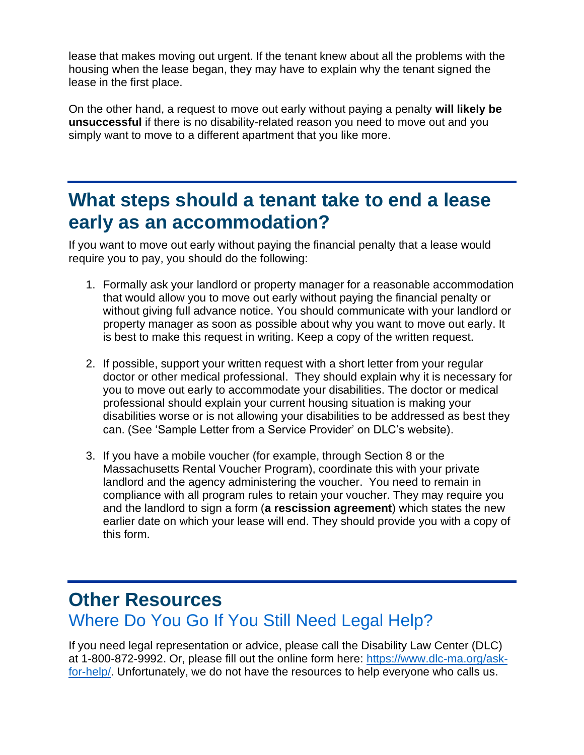lease that makes moving out urgent. If the tenant knew about all the problems with the housing when the lease began, they may have to explain why the tenant signed the lease in the first place.

On the other hand, a request to move out early without paying a penalty **will likely be unsuccessful** if there is no disability-related reason you need to move out and you simply want to move to a different apartment that you like more.

### **What steps should a tenant take to end a lease early as an accommodation?**

If you want to move out early without paying the financial penalty that a lease would require you to pay, you should do the following:

- 1. Formally ask your landlord or property manager for a reasonable accommodation that would allow you to move out early without paying the financial penalty or without giving full advance notice. You should communicate with your landlord or property manager as soon as possible about why you want to move out early. It is best to make this request in writing. Keep a copy of the written request.
- 2. If possible, support your written request with a short letter from your regular doctor or other medical professional. They should explain why it is necessary for you to move out early to accommodate your disabilities. The doctor or medical professional should explain your current housing situation is making your disabilities worse or is not allowing your disabilities to be addressed as best they can. (See 'Sample Letter from a Service Provider' on DLC's website).
- 3. If you have a mobile voucher (for example, through Section 8 or the Massachusetts Rental Voucher Program), coordinate this with your private landlord and the agency administering the voucher. You need to remain in compliance with all program rules to retain your voucher. They may require you and the landlord to sign a form (**a rescission agreement**) which states the new earlier date on which your lease will end. They should provide you with a copy of this form.

#### **Other Resources**

#### Where Do You Go If You Still Need Legal Help?

If you need legal representation or advice, please call the Disability Law Center (DLC) at 1-800-872-9992. Or, please fill out the online form here: [https://www.dlc-ma.org/ask](https://www.dlc-ma.org/ask-for-help/)[for-help/.](https://www.dlc-ma.org/ask-for-help/) Unfortunately, we do not have the resources to help everyone who calls us.